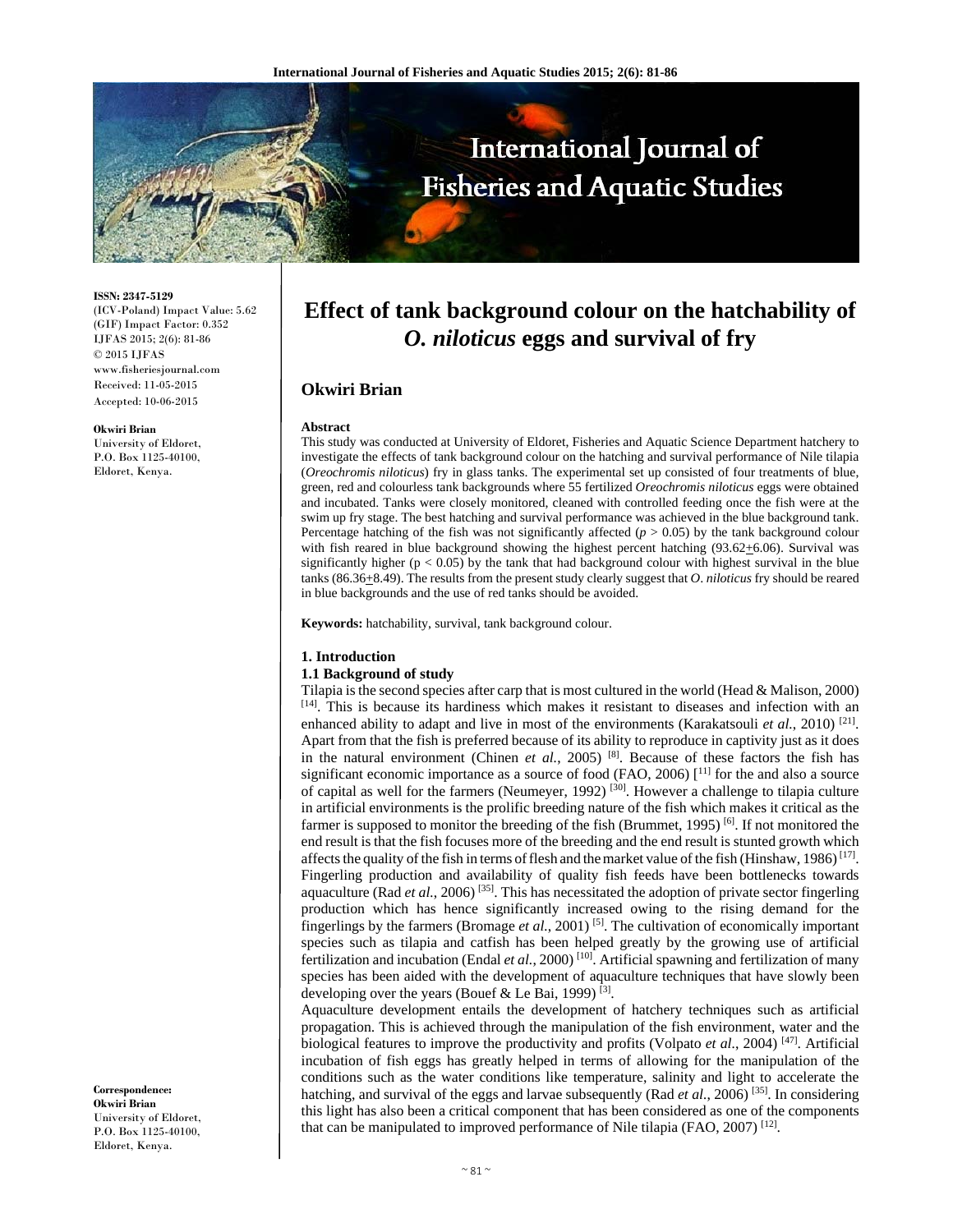

**ISSN: 2347-5129**  (ICV-Poland) Impact Value: 5.62 (GIF) Impact Factor: 0.352 IJFAS 2015; 2(6): 81-86 © 2015 IJFAS www.fisheriesjournal.com Received: 11-05-2015 Accepted: 10-06-2015

#### **Okwiri Brian**

University of Eldoret, P.O. Box 1125-40100, Eldoret, Kenya.

**Correspondence: Okwiri Brian**  University of Eldoret, P.O. Box 1125-40100, Eldoret, Kenya.

# **Effect of tank background colour on the hatchability of**  *O. niloticus* **eggs and survival of fry**

# **Okwiri Brian**

#### **Abstract**

This study was conducted at University of Eldoret, Fisheries and Aquatic Science Department hatchery to investigate the effects of tank background colour on the hatching and survival performance of Nile tilapia (*Oreochromis niloticus*) fry in glass tanks. The experimental set up consisted of four treatments of blue, green, red and colourless tank backgrounds where 55 fertilized *Oreochromis niloticus* eggs were obtained and incubated. Tanks were closely monitored, cleaned with controlled feeding once the fish were at the swim up fry stage. The best hatching and survival performance was achieved in the blue background tank. Percentage hatching of the fish was not significantly affected  $(p > 0.05)$  by the tank background colour with fish reared in blue background showing the highest percent hatching  $(93.62 \pm 6.06)$ . Survival was significantly higher ( $p < 0.05$ ) by the tank that had background colour with highest survival in the blue tanks (86.36+8.49). The results from the present study clearly suggest that *O*. *niloticus* fry should be reared in blue backgrounds and the use of red tanks should be avoided.

**Keywords:** hatchability, survival, tank background colour.

### **1. Introduction**

### **1.1 Background of study**

Tilapia is the second species after carp that is most cultured in the world (Head & Malison, 2000) [14]. This is because its hardiness which makes it resistant to diseases and infection with an enhanced ability to adapt and live in most of the environments (Karakatsouli *et al.*, 2010) <sup>[21]</sup>. Apart from that the fish is preferred because of its ability to reproduce in captivity just as it does in the natural environment (Chinen *et al.*, 2005)<sup>[8]</sup>. Because of these factors the fish has significant economic importance as a source of food (FAO, 2006)  $\lceil$ <sup>11]</sup> for the and also a source of capital as well for the farmers (Neumeyer, 1992) [30]. However a challenge to tilapia culture in artificial environments is the prolific breeding nature of the fish which makes it critical as the farmer is supposed to monitor the breeding of the fish (Brummet, 1995) <sup>[6]</sup>. If not monitored the end result is that the fish focuses more of the breeding and the end result is stunted growth which affects the quality of the fish in terms of flesh and the market value of the fish (Hinshaw, 1986)<sup>[17]</sup>. Fingerling production and availability of quality fish feeds have been bottlenecks towards aquaculture (Rad *et al.*, 2006)<sup>[35]</sup>. This has necessitated the adoption of private sector fingerling production which has hence significantly increased owing to the rising demand for the fingerlings by the farmers (Bromage *et al.*, 2001) [5]. The cultivation of economically important species such as tilapia and catfish has been helped greatly by the growing use of artificial fertilization and incubation (Endal *et al.*, 2000)<sup>[10]</sup>. Artificial spawning and fertilization of many species has been aided with the development of aquaculture techniques that have slowly been developing over the years (Bouef & Le Bai, 1999)  $^{[3]}$ .

Aquaculture development entails the development of hatchery techniques such as artificial propagation. This is achieved through the manipulation of the fish environment, water and the biological features to improve the productivity and profits (Volpato et al., 2004)<sup>[47]</sup>. Artificial incubation of fish eggs has greatly helped in terms of allowing for the manipulation of the conditions such as the water conditions like temperature, salinity and light to accelerate the hatching, and survival of the eggs and larvae subsequently (Rad *et al.*, 2006)<sup>[35]</sup>. In considering this light has also been a critical component that has been considered as one of the components that can be manipulated to improved performance of Nile tilapia (FAO, 2007) [12].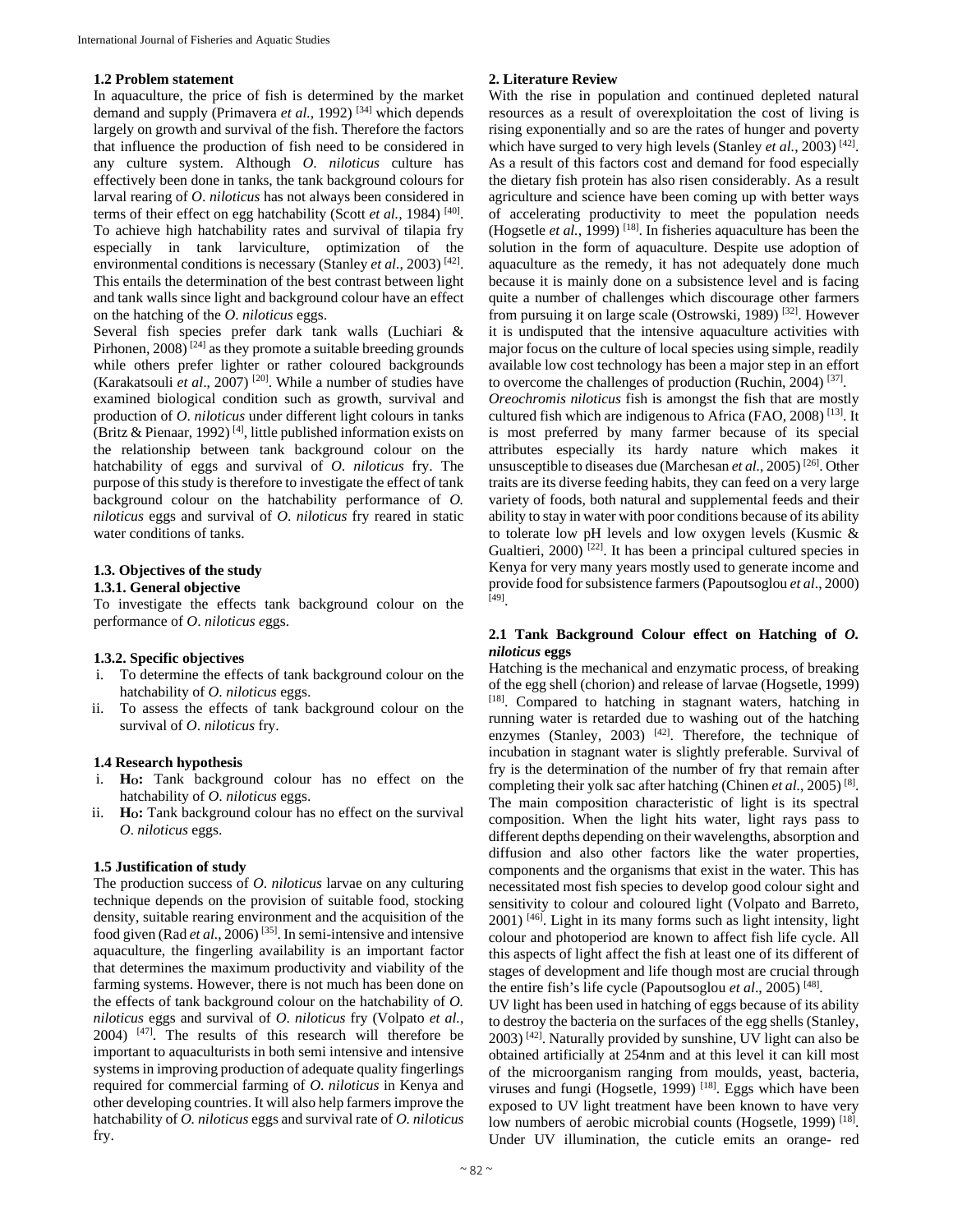### **1.2 Problem statement**

In aquaculture, the price of fish is determined by the market demand and supply (Primavera *et al.*, 1992) [34] which depends largely on growth and survival of the fish. Therefore the factors that influence the production of fish need to be considered in any culture system. Although *O*. *niloticus* culture has effectively been done in tanks, the tank background colours for larval rearing of *O*. *niloticus* has not always been considered in terms of their effect on egg hatchability (Scott *et al.*, 1984)<sup>[40]</sup>. To achieve high hatchability rates and survival of tilapia fry especially in tank larviculture, optimization of the environmental conditions is necessary (Stanley et al., 2003)<sup>[42]</sup>. This entails the determination of the best contrast between light and tank walls since light and background colour have an effect on the hatching of the *O*. *niloticus* eggs.

Several fish species prefer dark tank walls (Luchiari & Pirhonen,  $2008$ <sup>[24]</sup> as they promote a suitable breeding grounds while others prefer lighter or rather coloured backgrounds (Karakatsouli *et al*., 2007) [20]. While a number of studies have examined biological condition such as growth, survival and production of *O*. *niloticus* under different light colours in tanks (Britz & Pienaar, 1992)<sup>[4]</sup>, little published information exists on the relationship between tank background colour on the hatchability of eggs and survival of *O*. *niloticus* fry. The purpose of this study is therefore to investigate the effect of tank background colour on the hatchability performance of *O. niloticus* eggs and survival of *O*. *niloticus* fry reared in static water conditions of tanks.

# **1.3. Objectives of the study**

### **1.3.1. General objective**

To investigate the effects tank background colour on the performance of *O*. *niloticus e*ggs.

#### **1.3.2. Specific objectives**

- i. To determine the effects of tank background colour on the hatchability of *O*. *niloticus* eggs.
- ii. To assess the effects of tank background colour on the survival of *O*. *niloticus* fry.

#### **1.4 Research hypothesis**

- i. **HO:** Tank background colour has no effect on the hatchability of *O*. *niloticus* eggs.
- ii. **Ho:** Tank background colour has no effect on the survival *O*. *niloticus* eggs.

# **1.5 Justification of study**

The production success of *O*. *niloticus* larvae on any culturing technique depends on the provision of suitable food, stocking density, suitable rearing environment and the acquisition of the food given (Rad *et al.*, 2006) [35]. In semi-intensive and intensive aquaculture, the fingerling availability is an important factor that determines the maximum productivity and viability of the farming systems. However, there is not much has been done on the effects of tank background colour on the hatchability of *O. niloticus* eggs and survival of *O*. *niloticus* fry (Volpato *et al.*, 2004) [47]. The results of this research will therefore be important to aquaculturists in both semi intensive and intensive systems in improving production of adequate quality fingerlings required for commercial farming of *O*. *niloticus* in Kenya and other developing countries. It will also help farmers improve the hatchability of *O. niloticus* eggs and survival rate of *O. niloticus* fry.

# **2. Literature Review**

With the rise in population and continued depleted natural resources as a result of overexploitation the cost of living is rising exponentially and so are the rates of hunger and poverty which have surged to very high levels (Stanley et al., 2003)<sup>[42]</sup>. As a result of this factors cost and demand for food especially the dietary fish protein has also risen considerably. As a result agriculture and science have been coming up with better ways of accelerating productivity to meet the population needs (Hogsetle *et al.*, 1999) [18]. In fisheries aquaculture has been the solution in the form of aquaculture. Despite use adoption of aquaculture as the remedy, it has not adequately done much because it is mainly done on a subsistence level and is facing quite a number of challenges which discourage other farmers from pursuing it on large scale (Ostrowski, 1989) [32]. However it is undisputed that the intensive aquaculture activities with major focus on the culture of local species using simple, readily available low cost technology has been a major step in an effort to overcome the challenges of production (Ruchin, 2004)  $[37]$ .

*Oreochromis niloticus* fish is amongst the fish that are mostly cultured fish which are indigenous to Africa (FAO, 2008)  $^{[13]}$ . It is most preferred by many farmer because of its special attributes especially its hardy nature which makes it unsusceptible to diseases due (Marchesan *et al.*, 2005) [26]. Other traits are its diverse feeding habits, they can feed on a very large variety of foods, both natural and supplemental feeds and their ability to stay in water with poor conditions because of its ability to tolerate low pH levels and low oxygen levels (Kusmic & Gualtieri,  $2000$ <sup>[22]</sup>. It has been a principal cultured species in Kenya for very many years mostly used to generate income and provide food for subsistence farmers (Papoutsoglou *et al*., 2000) [49].

# **2.1 Tank Background Colour effect on Hatching of** *O. niloticus* **eggs**

Hatching is the mechanical and enzymatic process, of breaking of the egg shell (chorion) and release of larvae (Hogsetle, 1999) [18]. Compared to hatching in stagnant waters, hatching in running water is retarded due to washing out of the hatching enzymes (Stanley, 2003)  $[42]$ . Therefore, the technique of incubation in stagnant water is slightly preferable. Survival of fry is the determination of the number of fry that remain after completing their yolk sac after hatching (Chinen *et al.*, 2005) [8]. The main composition characteristic of light is its spectral composition. When the light hits water, light rays pass to different depths depending on their wavelengths, absorption and diffusion and also other factors like the water properties, components and the organisms that exist in the water. This has necessitated most fish species to develop good colour sight and sensitivity to colour and coloured light (Volpato and Barreto, 2001) [46]. Light in its many forms such as light intensity, light colour and photoperiod are known to affect fish life cycle. All this aspects of light affect the fish at least one of its different of stages of development and life though most are crucial through the entire fish's life cycle (Papoutsoglou *et al*., 2005) [48].

UV light has been used in hatching of eggs because of its ability to destroy the bacteria on the surfaces of the egg shells (Stanley, 2003) [42]. Naturally provided by sunshine, UV light can also be obtained artificially at 254nm and at this level it can kill most of the microorganism ranging from moulds, yeast, bacteria, viruses and fungi (Hogsetle, 1999)<sup>[18]</sup>. Eggs which have been exposed to UV light treatment have been known to have very low numbers of aerobic microbial counts (Hogsetle, 1999)<sup>[18]</sup>. Under UV illumination, the cuticle emits an orange- red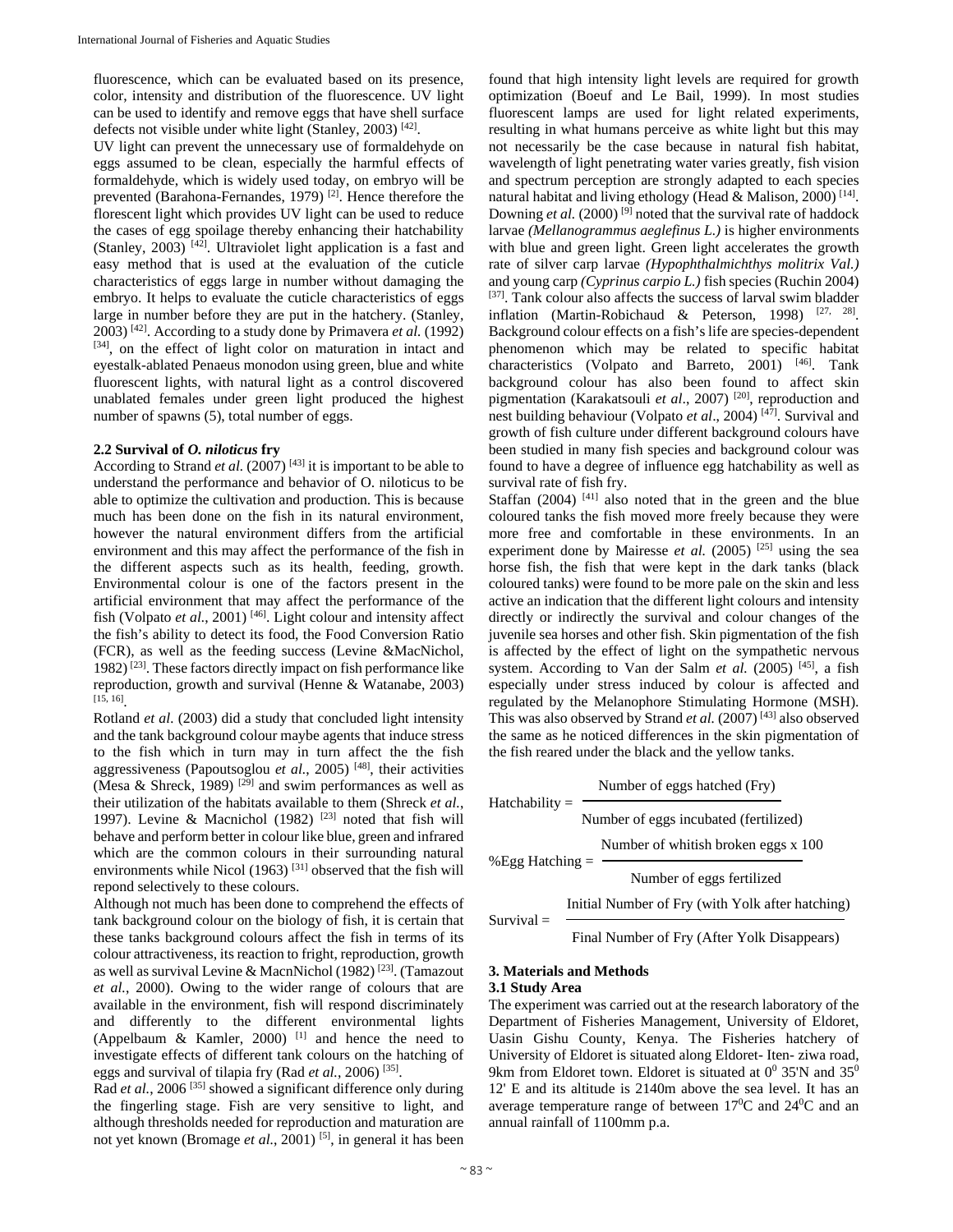fluorescence, which can be evaluated based on its presence, color, intensity and distribution of the fluorescence. UV light can be used to identify and remove eggs that have shell surface defects not visible under white light (Stanley, 2003) [42].

UV light can prevent the unnecessary use of formaldehyde on eggs assumed to be clean, especially the harmful effects of formaldehyde, which is widely used today, on embryo will be prevented (Barahona-Fernandes, 1979) [2]. Hence therefore the florescent light which provides UV light can be used to reduce the cases of egg spoilage thereby enhancing their hatchability (Stanley, 2003)  $[42]$ . Ultraviolet light application is a fast and easy method that is used at the evaluation of the cuticle characteristics of eggs large in number without damaging the embryo. It helps to evaluate the cuticle characteristics of eggs large in number before they are put in the hatchery. (Stanley, 2003) [42]. According to a study done by Primavera *et al.* (1992) [34], on the effect of light color on maturation in intact and eyestalk-ablated Penaeus monodon using green, blue and white fluorescent lights, with natural light as a control discovered unablated females under green light produced the highest number of spawns (5), total number of eggs.

#### **2.2 Survival of** *O. niloticus* **fry**

According to Strand *et al.* (2007)<sup>[43]</sup> it is important to be able to understand the performance and behavior of O. niloticus to be able to optimize the cultivation and production. This is because much has been done on the fish in its natural environment, however the natural environment differs from the artificial environment and this may affect the performance of the fish in the different aspects such as its health, feeding, growth. Environmental colour is one of the factors present in the artificial environment that may affect the performance of the fish (Volpato *et al.*, 2001)<sup>[46]</sup>. Light colour and intensity affect the fish's ability to detect its food, the Food Conversion Ratio (FCR), as well as the feeding success (Levine &MacNichol, 1982) [23]. These factors directly impact on fish performance like reproduction, growth and survival (Henne & Watanabe, 2003)  $[15, 16]$ 

Rotland *et al.* (2003) did a study that concluded light intensity and the tank background colour maybe agents that induce stress to the fish which in turn may in turn affect the the fish aggressiveness (Papoutsoglou *et al.*, 2005) [48], their activities (Mesa & Shreck, 1989)<sup>[29]</sup> and swim performances as well as their utilization of the habitats available to them (Shreck *et al.*, 1997). Levine & Macnichol (1982)  $[23]$  noted that fish will behave and perform better in colour like blue, green and infrared which are the common colours in their surrounding natural environments while Nicol (1963)<sup>[31]</sup> observed that the fish will repond selectively to these colours.

Although not much has been done to comprehend the effects of tank background colour on the biology of fish, it is certain that these tanks background colours affect the fish in terms of its colour attractiveness, its reaction to fright, reproduction, growth as well as survival Levine & MacnNichol (1982) [23]. (Tamazout *et al.*, 2000). Owing to the wider range of colours that are available in the environment, fish will respond discriminately and differently to the different environmental lights (Appelbaum & Kamler, 2000) <sup>[1]</sup> and hence the need to investigate effects of different tank colours on the hatching of eggs and survival of tilapia fry (Rad *et al.*, 2006) [35].

Rad *et al.*, 2006<sup>[35]</sup> showed a significant difference only during the fingerling stage. Fish are very sensitive to light, and although thresholds needed for reproduction and maturation are not yet known (Bromage *et al.*, 2001) [5], in general it has been found that high intensity light levels are required for growth optimization (Boeuf and Le Bail, 1999). In most studies fluorescent lamps are used for light related experiments, resulting in what humans perceive as white light but this may not necessarily be the case because in natural fish habitat, wavelength of light penetrating water varies greatly, fish vision and spectrum perception are strongly adapted to each species natural habitat and living ethology (Head & Malison, 2000)<sup>[14]</sup>. Downing *et al.* (2000)<sup>[9]</sup> noted that the survival rate of haddock larvae *(Mellanogrammus aeglefinus L.)* is higher environments with blue and green light. Green light accelerates the growth rate of silver carp larvae *(Hypophthalmichthys molitrix Val.)*  and young carp *(Cyprinus carpio L.)* fish species (Ruchin 2004) [37]. Tank colour also affects the success of larval swim bladder inflation (Martin-Robichaud & Peterson, 1998)  $[27, 28]$ . Background colour effects on a fish's life are species-dependent phenomenon which may be related to specific habitat characteristics (Volpato and Barreto, 2001)  $[46]$ . Tank background colour has also been found to affect skin pigmentation (Karakatsouli *et al*., 2007) [20], reproduction and nest building behaviour (Volpato *et al*., 2004) [47]. Survival and growth of fish culture under different background colours have been studied in many fish species and background colour was found to have a degree of influence egg hatchability as well as survival rate of fish fry.

Staffan  $(2004)$ <sup>[41]</sup> also noted that in the green and the blue coloured tanks the fish moved more freely because they were more free and comfortable in these environments. In an experiment done by Mairesse *et al.* (2005)<sup>[25]</sup> using the sea horse fish, the fish that were kept in the dark tanks (black coloured tanks) were found to be more pale on the skin and less active an indication that the different light colours and intensity directly or indirectly the survival and colour changes of the juvenile sea horses and other fish. Skin pigmentation of the fish is affected by the effect of light on the sympathetic nervous system. According to Van der Salm *et al.* (2005)<sup>[45]</sup>, a fish especially under stress induced by colour is affected and regulated by the Melanophore Stimulating Hormone (MSH). This was also observed by Strand et al. (2007)<sup>[43]</sup> also observed the same as he noticed differences in the skin pigmentation of the fish reared under the black and the yellow tanks.

| $Hatchability =$ | Number of eggs hatched (Fry)                              |  |
|------------------|-----------------------------------------------------------|--|
|                  | Number of eggs incubated (fertilized)                     |  |
|                  | Number of whitish broken eggs x 100<br>% Egg Hatching $=$ |  |
|                  | Number of eggs fertilized                                 |  |
| Survival $=$     | Initial Number of Fry (with Yolk after hatching)          |  |
|                  | Final Number of Fry (After Yolk Disappears)               |  |

#### **3. Materials and Methods 3.1 Study Area**

The experiment was carried out at the research laboratory of the Department of Fisheries Management, University of Eldoret, Uasin Gishu County, Kenya. The Fisheries hatchery of University of Eldoret is situated along Eldoret- Iten- ziwa road, 9km from Eldoret town. Eldoret is situated at  $0^0$  35'N and 35<sup>0</sup> 12' E and its altitude is 2140m above the sea level. It has an average temperature range of between  $17^{\circ}$ C and  $24^{\circ}$ C and an annual rainfall of 1100mm p.a.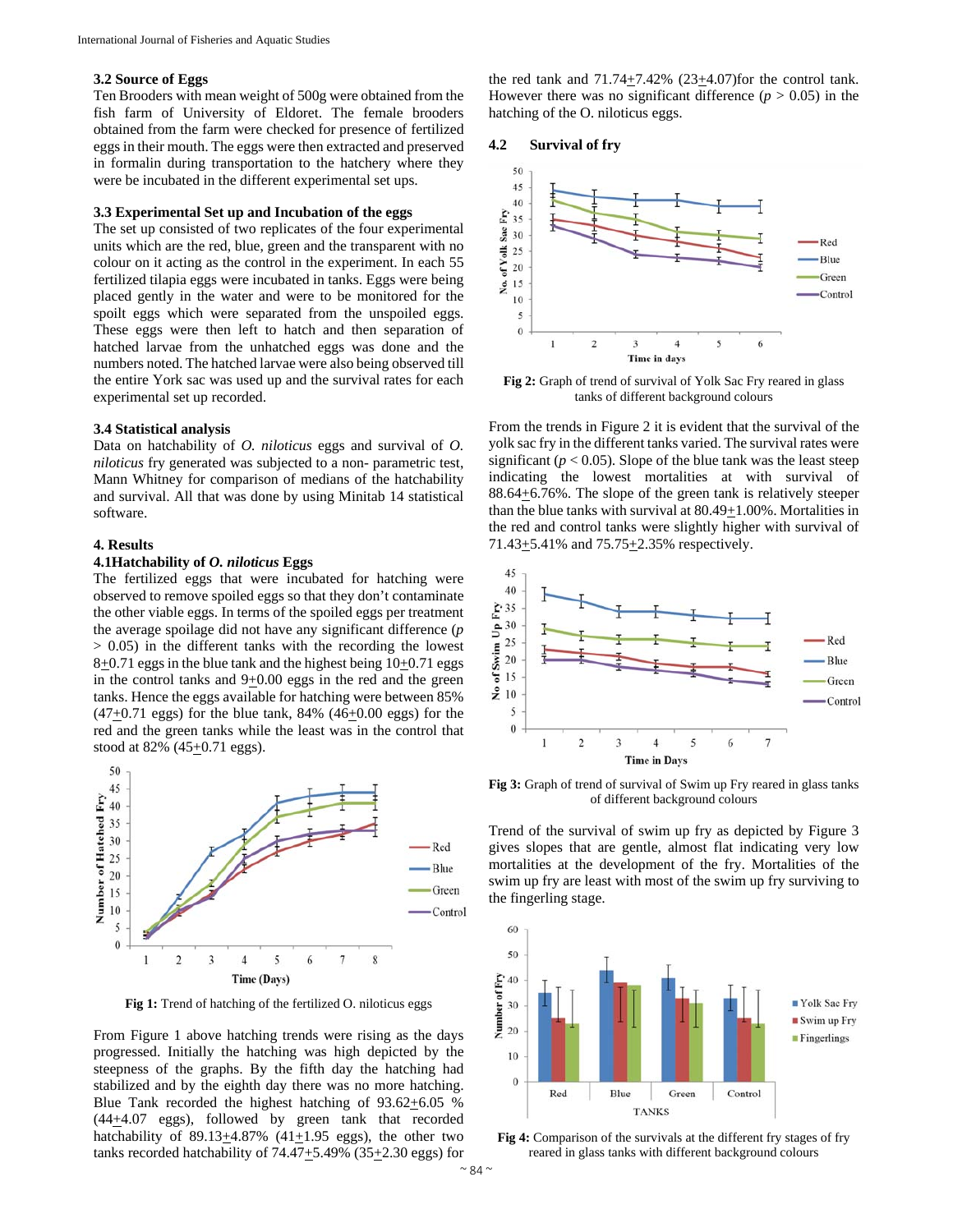#### **3.2 Source of Eggs**

Ten Brooders with mean weight of 500g were obtained from the fish farm of University of Eldoret. The female brooders obtained from the farm were checked for presence of fertilized eggs in their mouth. The eggs were then extracted and preserved in formalin during transportation to the hatchery where they were be incubated in the different experimental set ups.

# **3.3 Experimental Set up and Incubation of the eggs**

The set up consisted of two replicates of the four experimental units which are the red, blue, green and the transparent with no colour on it acting as the control in the experiment. In each 55 fertilized tilapia eggs were incubated in tanks. Eggs were being placed gently in the water and were to be monitored for the spoilt eggs which were separated from the unspoiled eggs. These eggs were then left to hatch and then separation of hatched larvae from the unhatched eggs was done and the numbers noted. The hatched larvae were also being observed till the entire York sac was used up and the survival rates for each experimental set up recorded.

#### **3.4 Statistical analysis**

Data on hatchability of *O. niloticus* eggs and survival of *O. niloticus* fry generated was subjected to a non- parametric test, Mann Whitney for comparison of medians of the hatchability and survival. All that was done by using Minitab 14 statistical software.

#### **4. Results**

#### **4.1Hatchability of** *O. niloticus* **Eggs**

The fertilized eggs that were incubated for hatching were observed to remove spoiled eggs so that they don't contaminate the other viable eggs. In terms of the spoiled eggs per treatment the average spoilage did not have any significant difference (*p*  > 0.05) in the different tanks with the recording the lowest  $8+0.71$  eggs in the blue tank and the highest being  $10+0.71$  eggs in the control tanks and  $9+0.00$  eggs in the red and the green tanks. Hence the eggs available for hatching were between 85%  $(47+0.71$  eggs) for the blue tank,  $84\%$   $(46+0.00$  eggs) for the red and the green tanks while the least was in the control that stood at 82% (45+0.71 eggs).



Fig 1: Trend of hatching of the fertilized O. niloticus eggs

From Figure 1 above hatching trends were rising as the days progressed. Initially the hatching was high depicted by the steepness of the graphs. By the fifth day the hatching had stabilized and by the eighth day there was no more hatching. Blue Tank recorded the highest hatching of  $93.62 \pm 6.05$  %  $(44+4.07$  eggs), followed by green tank that recorded hatchability of 89.13 $\pm$ 4.87% (41 $\pm$ 1.95 eggs), the other two tanks recorded hatchability of  $74.47\pm5.49\%$  (35 $\pm2.30$  eggs) for

the red tank and  $71.74 \pm 7.42\%$  (23 $\pm 4.07$ ) for the control tank. However there was no significant difference  $(p > 0.05)$  in the hatching of the O. niloticus eggs.

#### **4.2 Survival of fry**



**Fig 2:** Graph of trend of survival of Yolk Sac Fry reared in glass tanks of different background colours

From the trends in Figure 2 it is evident that the survival of the yolk sac fry in the different tanks varied. The survival rates were significant ( $p < 0.05$ ). Slope of the blue tank was the least steep indicating the lowest mortalities at with survival of  $88.64 \pm 6.76$ %. The slope of the green tank is relatively steeper than the blue tanks with survival at  $80.49 \pm 1.00\%$ . Mortalities in the red and control tanks were slightly higher with survival of 71.43 $\pm$ 5.41% and 75.75 $\pm$ 2.35% respectively.



**Fig 3:** Graph of trend of survival of Swim up Fry reared in glass tanks of different background colours

Trend of the survival of swim up fry as depicted by Figure 3 gives slopes that are gentle, almost flat indicating very low mortalities at the development of the fry. Mortalities of the swim up fry are least with most of the swim up fry surviving to the fingerling stage.



**Fig 4:** Comparison of the survivals at the different fry stages of fry reared in glass tanks with different background colours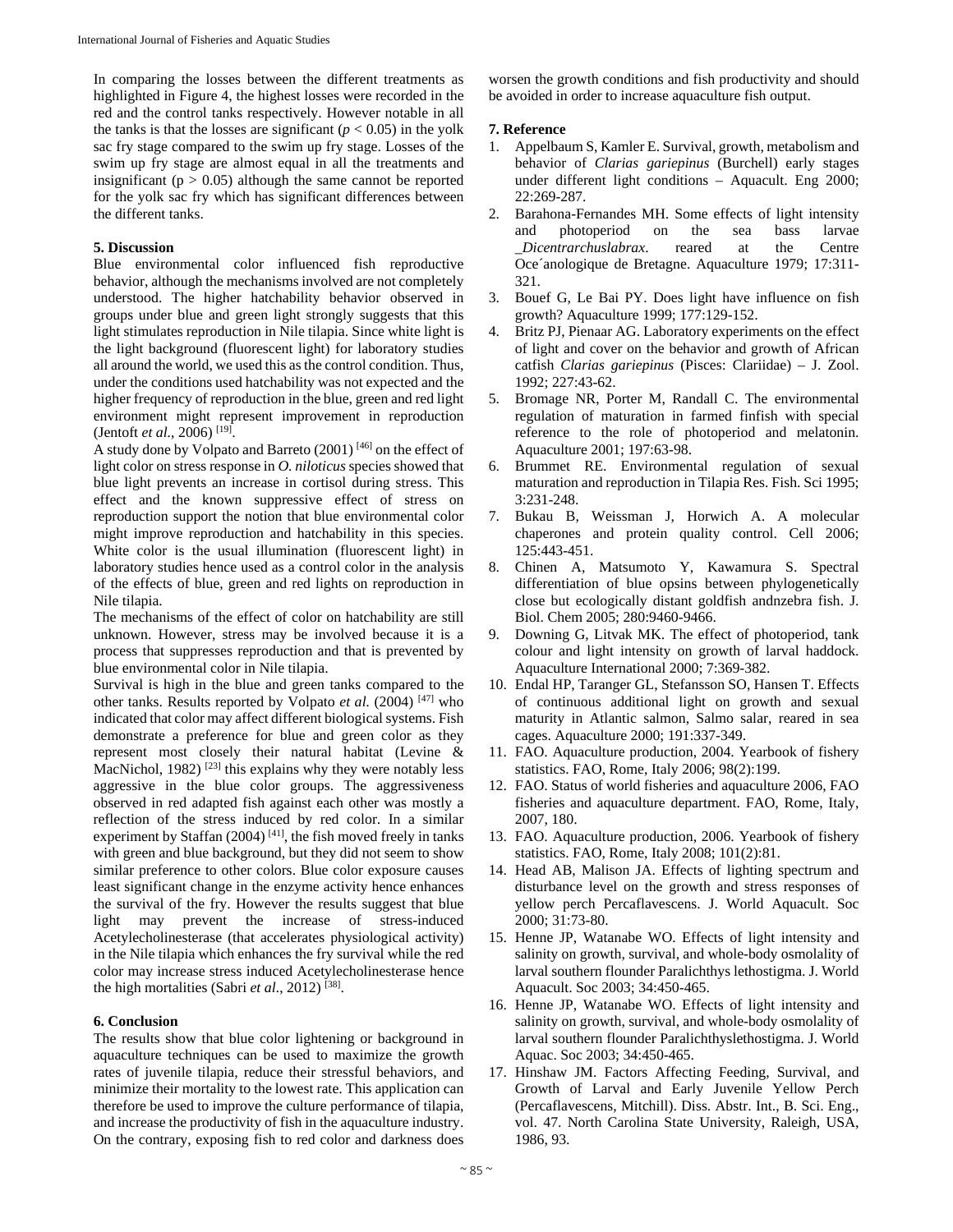In comparing the losses between the different treatments as highlighted in Figure 4, the highest losses were recorded in the red and the control tanks respectively. However notable in all the tanks is that the losses are significant  $(p < 0.05)$  in the yolk sac fry stage compared to the swim up fry stage. Losses of the swim up fry stage are almost equal in all the treatments and insignificant ( $p > 0.05$ ) although the same cannot be reported for the yolk sac fry which has significant differences between the different tanks.

# **5. Discussion**

Blue environmental color influenced fish reproductive behavior, although the mechanisms involved are not completely understood. The higher hatchability behavior observed in groups under blue and green light strongly suggests that this light stimulates reproduction in Nile tilapia. Since white light is the light background (fluorescent light) for laboratory studies all around the world, we used this as the control condition. Thus, under the conditions used hatchability was not expected and the higher frequency of reproduction in the blue, green and red light environment might represent improvement in reproduction (Jentoft *et al.*, 2006) [19].

A study done by Volpato and Barreto (2001) [46] on the effect of light color on stress response in *O. niloticus* species showed that blue light prevents an increase in cortisol during stress. This effect and the known suppressive effect of stress on reproduction support the notion that blue environmental color might improve reproduction and hatchability in this species. White color is the usual illumination (fluorescent light) in laboratory studies hence used as a control color in the analysis of the effects of blue, green and red lights on reproduction in Nile tilapia.

The mechanisms of the effect of color on hatchability are still unknown. However, stress may be involved because it is a process that suppresses reproduction and that is prevented by blue environmental color in Nile tilapia.

Survival is high in the blue and green tanks compared to the other tanks. Results reported by Volpato *et al.* (2004) [47] who indicated that color may affect different biological systems. Fish demonstrate a preference for blue and green color as they represent most closely their natural habitat (Levine & MacNichol, 1982)<sup>[23]</sup> this explains why they were notably less aggressive in the blue color groups. The aggressiveness observed in red adapted fish against each other was mostly a reflection of the stress induced by red color. In a similar experiment by Staffan (2004)<sup>[41]</sup>, the fish moved freely in tanks with green and blue background, but they did not seem to show similar preference to other colors. Blue color exposure causes least significant change in the enzyme activity hence enhances the survival of the fry. However the results suggest that blue light may prevent the increase of stress-induced Acetylecholinesterase (that accelerates physiological activity) in the Nile tilapia which enhances the fry survival while the red color may increase stress induced Acetylecholinesterase hence the high mortalities (Sabri *et al.*, 2012) [38].

#### **6. Conclusion**

The results show that blue color lightening or background in aquaculture techniques can be used to maximize the growth rates of juvenile tilapia, reduce their stressful behaviors, and minimize their mortality to the lowest rate. This application can therefore be used to improve the culture performance of tilapia, and increase the productivity of fish in the aquaculture industry. On the contrary, exposing fish to red color and darkness does

worsen the growth conditions and fish productivity and should be avoided in order to increase aquaculture fish output.

# **7. Reference**

- 1. Appelbaum S, Kamler E. Survival, growth, metabolism and behavior of *Clarias gariepinus* (Burchell) early stages under different light conditions – Aquacult. Eng 2000; 22:269-287.
- 2. Barahona-Fernandes MH. Some effects of light intensity and photoperiod on the sea bass larvae<br>Dicentrarchuslabrax. reared at the Centre *LDicentrarchuslabrax*. reared at the Oce´anologique de Bretagne. Aquaculture 1979; 17:311- 321.
- 3. Bouef G, Le Bai PY. Does light have influence on fish growth? Aquaculture 1999; 177:129-152.
- 4. Britz PJ, Pienaar AG. Laboratory experiments on the effect of light and cover on the behavior and growth of African catfish *Clarias gariepinus* (Pisces: Clariidae) – J. Zool. 1992; 227:43-62.
- 5. Bromage NR, Porter M, Randall C. The environmental regulation of maturation in farmed finfish with special reference to the role of photoperiod and melatonin. Aquaculture 2001; 197:63-98.
- 6. Brummet RE. Environmental regulation of sexual maturation and reproduction in Tilapia Res. Fish. Sci 1995; 3:231-248.
- 7. Bukau B, Weissman J, Horwich A. A molecular chaperones and protein quality control. Cell 2006; 125:443-451.
- 8. Chinen A, Matsumoto Y, Kawamura S. Spectral differentiation of blue opsins between phylogenetically close but ecologically distant goldfish andnzebra fish. J. Biol. Chem 2005; 280:9460-9466.
- 9. Downing G, Litvak MK. The effect of photoperiod, tank colour and light intensity on growth of larval haddock. Aquaculture International 2000; 7:369-382.
- 10. Endal HP, Taranger GL, Stefansson SO, Hansen T. Effects of continuous additional light on growth and sexual maturity in Atlantic salmon, Salmo salar, reared in sea cages. Aquaculture 2000; 191:337-349.
- 11. FAO. Aquaculture production, 2004. Yearbook of fishery statistics. FAO, Rome, Italy 2006; 98(2):199.
- 12. FAO. Status of world fisheries and aquaculture 2006, FAO fisheries and aquaculture department. FAO, Rome, Italy, 2007, 180.
- 13. FAO. Aquaculture production, 2006. Yearbook of fishery statistics. FAO, Rome, Italy 2008; 101(2):81.
- 14. Head AB, Malison JA. Effects of lighting spectrum and disturbance level on the growth and stress responses of yellow perch Percaflavescens. J. World Aquacult. Soc 2000; 31:73-80.
- 15. Henne JP, Watanabe WO. Effects of light intensity and salinity on growth, survival, and whole-body osmolality of larval southern flounder Paralichthys lethostigma. J. World Aquacult. Soc 2003; 34:450-465.
- 16. Henne JP, Watanabe WO. Effects of light intensity and salinity on growth, survival, and whole-body osmolality of larval southern flounder Paralichthyslethostigma. J. World Aquac. Soc 2003; 34:450-465.
- 17. Hinshaw JM. Factors Affecting Feeding, Survival, and Growth of Larval and Early Juvenile Yellow Perch (Percaflavescens, Mitchill). Diss. Abstr. Int., B. Sci. Eng., vol. 47. North Carolina State University, Raleigh, USA, 1986, 93.